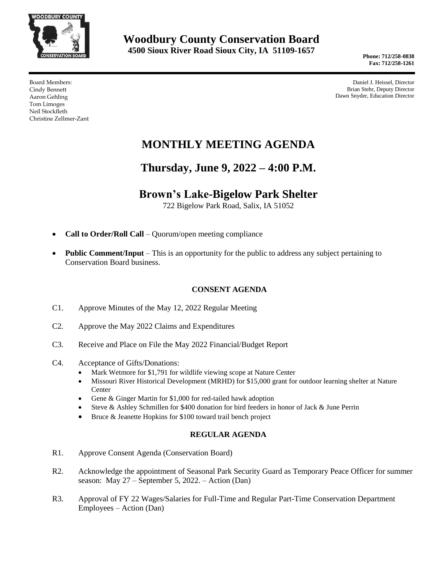

**Phone: 712/258-0838 Fax: 712/258-1261**

Board Members: Cindy Bennett Aaron Gehling Tom Limoges Neil Stockfleth Christine Zellmer-Zant

Daniel J. Heissel, Director Brian Stehr, Deputy Director Dawn Snyder, Education Director

# **MONTHLY MEETING AGENDA**

## **Thursday, June 9, 2022 – 4:00 P.M.**

### **Brown's Lake-Bigelow Park Shelter**

722 Bigelow Park Road, Salix, IA 51052

- **Call to Order/Roll Call** Quorum/open meeting compliance
- **Public Comment/Input** This is an opportunity for the public to address any subject pertaining to Conservation Board business.

#### **CONSENT AGENDA**

- C1. Approve Minutes of the May 12, 2022 Regular Meeting
- C2. Approve the May 2022 Claims and Expenditures
- C3. Receive and Place on File the May 2022 Financial/Budget Report
- C4. Acceptance of Gifts/Donations:
	- Mark Wetmore for \$1,791 for wildlife viewing scope at Nature Center
	- Missouri River Historical Development (MRHD) for \$15,000 grant for outdoor learning shelter at Nature Center
	- Gene & Ginger Martin for \$1,000 for red-tailed hawk adoption
	- Steve & Ashley Schmillen for \$400 donation for bird feeders in honor of Jack & June Perrin
	- Bruce & Jeanette Hopkins for \$100 toward trail bench project

#### **REGULAR AGENDA**

- R1. Approve Consent Agenda (Conservation Board)
- R2. Acknowledge the appointment of Seasonal Park Security Guard as Temporary Peace Officer for summer season: May 27 – September 5, 2022. – Action (Dan)
- R3. Approval of FY 22 Wages/Salaries for Full-Time and Regular Part-Time Conservation Department Employees – Action (Dan)